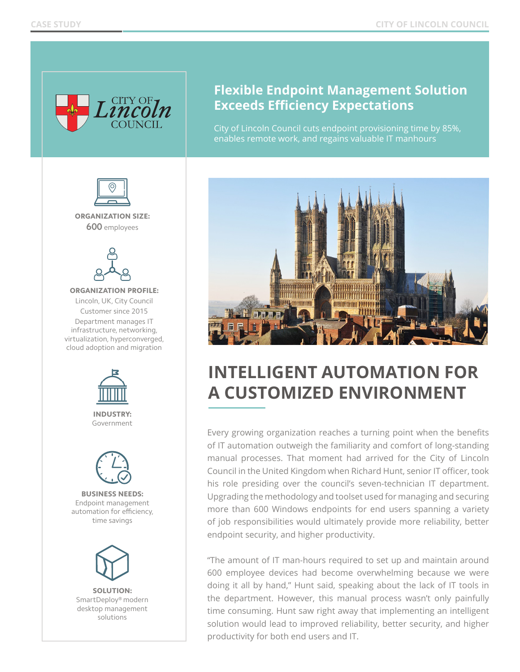

## **Flexible Endpoint Management Solution Exceeds Efficiency Expectations**

City of Lincoln Council cuts endpoint provisioning time by 85%, enables remote work, and regains valuable IT manhours



ORGANIZATION SIZE: **600** employees



ORGANIZATION PROFILE: Lincoln, UK, City Council Customer since 2015 Department manages IT infrastructure, networking, virtualization, hyperconverged, cloud adoption and migration



INDUSTRY: Government



BUSINESS NEEDS: Endpoint management automation for efficiency, time savings



SOLUTION: SmartDeploy® modern desktop management solutions





## **INTELLIGENT AUTOMATION FOR A CUSTOMIZED ENVIRONMENT**

Every growing organization reaches a turning point when the benefits of IT automation outweigh the familiarity and comfort of long-standing manual processes. That moment had arrived for the City of Lincoln Council in the United Kingdom when Richard Hunt, senior IT officer, took his role presiding over the council's seven-technician IT department. Upgrading the methodology and toolset used for managing and securing more than 600 Windows endpoints for end users spanning a variety of job responsibilities would ultimately provide more reliability, better endpoint security, and higher productivity.

"The amount of IT man-hours required to set up and maintain around 600 employee devices had become overwhelming because we were doing it all by hand," Hunt said, speaking about the lack of IT tools in the department. However, this manual process wasn't only painfully time consuming. Hunt saw right away that implementing an intelligent solution would lead to improved reliability, better security, and higher productivity for both end users and IT.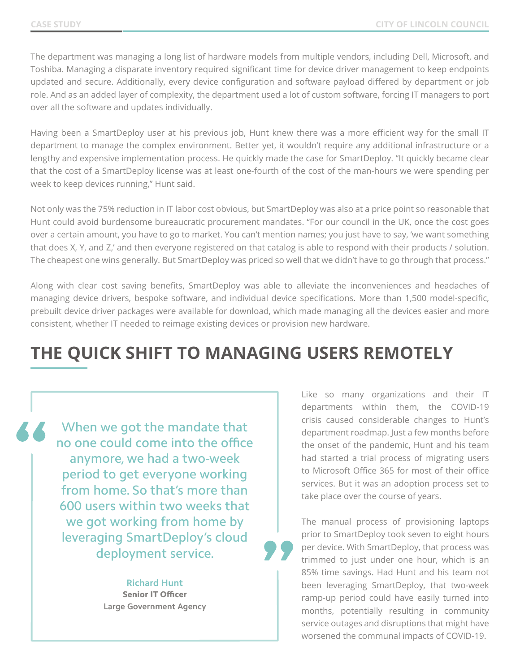The department was managing a long list of hardware models from multiple vendors, including Dell, Microsoft, and Toshiba. Managing a disparate inventory required significant time for device driver management to keep endpoints updated and secure. Additionally, every device configuration and software payload differed by department or job role. And as an added layer of complexity, the department used a lot of custom software, forcing IT managers to port over all the software and updates individually.

Having been a SmartDeploy user at his previous job, Hunt knew there was a more efficient way for the small IT department to manage the complex environment. Better yet, it wouldn't require any additional infrastructure or a lengthy and expensive implementation process. He quickly made the case for SmartDeploy. "It quickly became clear that the cost of a SmartDeploy license was at least one-fourth of the cost of the man-hours we were spending per week to keep devices running," Hunt said.

Not only was the 75% reduction in IT labor cost obvious, but SmartDeploy was also at a price point so reasonable that Hunt could avoid burdensome bureaucratic procurement mandates. "For our council in the UK, once the cost goes over a certain amount, you have to go to market. You can't mention names; you just have to say, 'we want something that does X, Y, and Z,' and then everyone registered on that catalog is able to respond with their products / solution. The cheapest one wins generally. But SmartDeploy was priced so well that we didn't have to go through that process."

Along with clear cost saving benefits, SmartDeploy was able to alleviate the inconveniences and headaches of managing device drivers, bespoke software, and individual device specifications. More than 1,500 model-specific, prebuilt device driver packages were available for download, which made managing all the devices easier and more consistent, whether IT needed to reimage existing devices or provision new hardware.

## **THE QUICK SHIFT TO MANAGING USERS REMOTELY**

When we got the mandate that no one could come into the office anymore, we had a two-week period to get everyone working from home. So that's more than 600 users within two weeks that we got working from home by leveraging SmartDeploy's cloud deployment service.

> **Richard Hunt** Senior IT Officer **Large Government Agency**

Like so many organizations and their IT departments within them, the COVID-19 crisis caused considerable changes to Hunt's department roadmap. Just a few months before the onset of the pandemic, Hunt and his team had started a trial process of migrating users to Microsoft Office 365 for most of their office services. But it was an adoption process set to take place over the course of years.